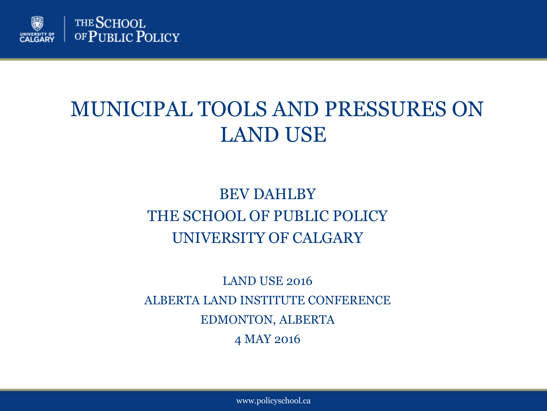

### MUNICIPAL TOOLS AND PRESSURES ON LAND USE

### BEV DAHLBY THE SCHOOL OF PUBLIC POLICY UNIVERSITY OF CALGARY

LAND USE 2016 ALBERTA LAND INSTITUTE CONFERENCE EDMONTON, ALBERTA 4 MAY 2016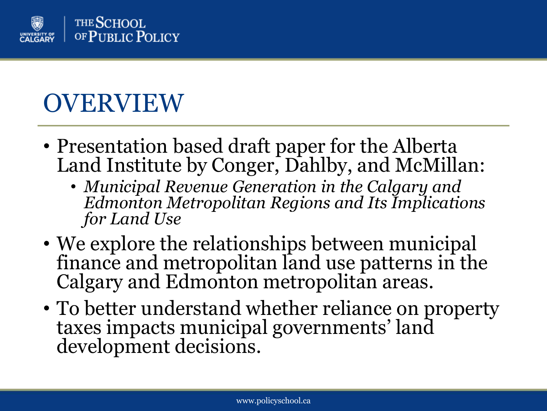

## OVERVIEW

- Presentation based draft paper for the Alberta Land Institute by Conger, Dahlby, and McMillan:
	- *Municipal Revenue Generation in the Calgary and Edmonton Metropolitan Regions and Its Implications for Land Use*
- We explore the relationships between municipal finance and metropolitan land use patterns in the Calgary and Edmonton metropolitan areas.
- To better understand whether reliance on property taxes impacts municipal governments' land development decisions.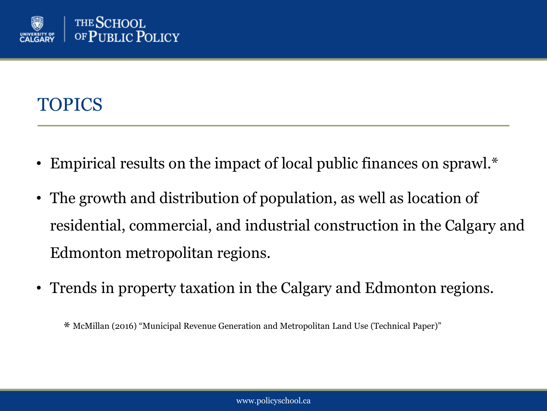

### TOPICS

- Empirical results on the impact of local public finances on sprawl.\*
- The growth and distribution of population, as well as location of residential, commercial, and industrial construction in the Calgary and Edmonton metropolitan regions.
- Trends in property taxation in the Calgary and Edmonton regions.

\* McMillan (2016) "Municipal Revenue Generation and Metropolitan Land Use (Technical Paper)"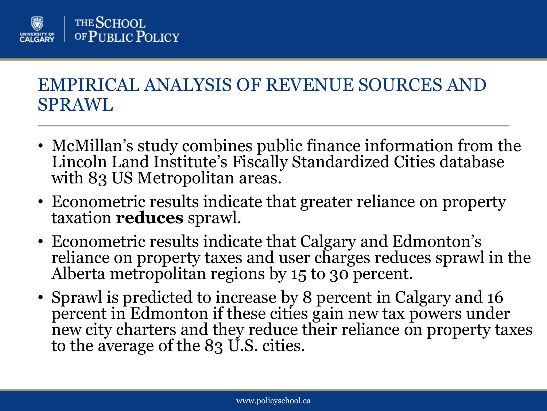

### EMPIRICAL ANALYSIS OF REVENUE SOURCES AND SPRAWL

- McMillan's study combines public finance information from the Lincoln Land Institute's Fiscally Standardized Cities database with 83 US Metropolitan areas.
- Econometric results indicate that greater reliance on property taxation **reduces** sprawl.
- Econometric results indicate that Calgary and Edmonton's reliance on property taxes and user charges reduces sprawl in the Alberta metropolitan regions by 15 to 30 percent.
- Sprawl is predicted to increase by 8 percent in Calgary and 16 percent in Edmonton if these cities gain new tax powers under new city charters and they reduce their reliance on property taxes to the average of the 83 U.S. cities.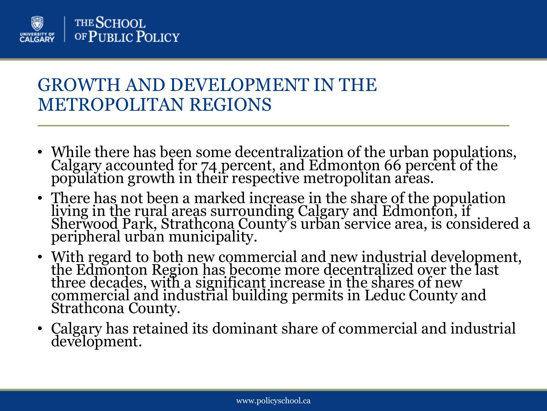

### GROWTH AND DEVELOPMENT IN THE METROPOLITAN REGIONS

- While there has been some decentralization of the urban populations, Calgary accounted for 74 percent, and Edmonton 66 percent of the population growth in their respective metropolitan areas.
- There has not been a marked increase in the share of the population living in the rural areas surrounding Calgary and Edmonton, if Sherwood Park, Strathcona County's urban service area, is considered a peripheral urban municipality.
- With regard to both new commercial and new industrial development, the Edmonton Region has become more decentralized over the last three decades, with a significant increase in the shares of new commercial and industrial building permits in Leduc County and Strathcona County.
- Calgary has retained its dominant share of commercial and industrial development.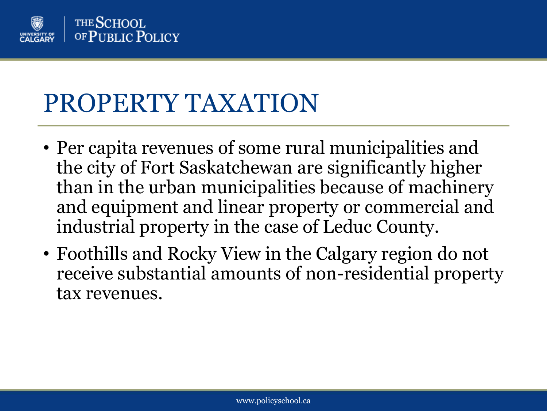

## PROPERTY TAXATION

- Per capita revenues of some rural municipalities and the city of Fort Saskatchewan are significantly higher than in the urban municipalities because of machinery and equipment and linear property or commercial and industrial property in the case of Leduc County.
- Foothills and Rocky View in the Calgary region do not receive substantial amounts of non-residential property tax revenues.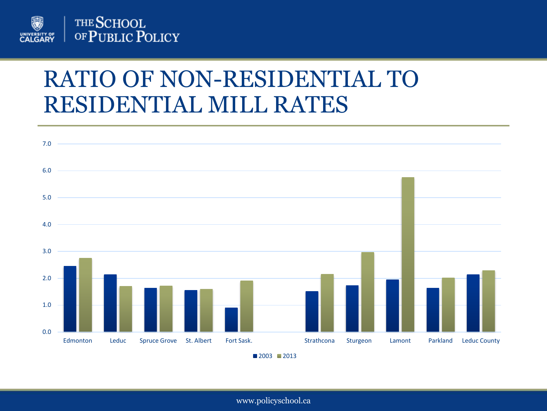

### RATIO OF NON-RESIDENTIAL TO RESIDENTIAL MILL RATES

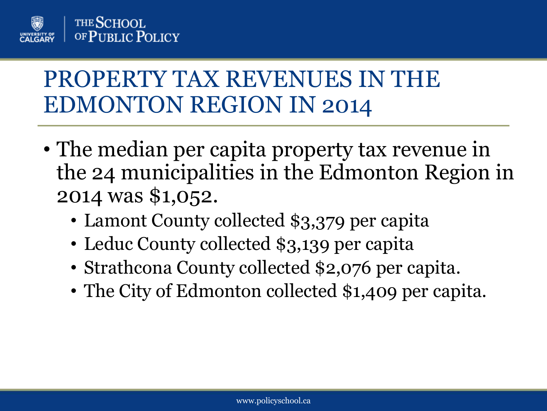

## PROPERTY TAX REVENUES IN THE EDMONTON REGION IN 2014

- The median per capita property tax revenue in the 24 municipalities in the Edmonton Region in 2014 was \$1,052.
	- Lamont County collected \$3,379 per capita
	- Leduc County collected \$3,139 per capita
	- Strathcona County collected \$2,076 per capita.
	- The City of Edmonton collected \$1,409 per capita.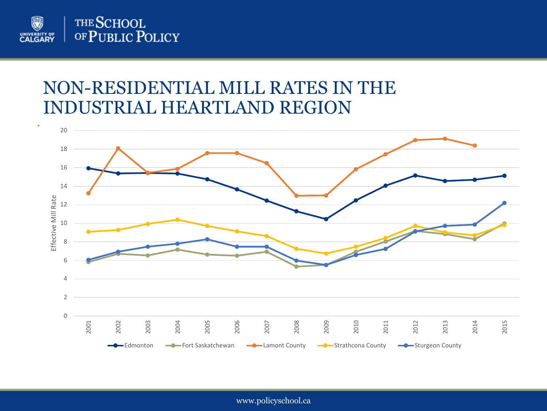

#### NON-RESIDENTIAL MILL RATES IN THE INDUSTRIAL HEARTLAND REGION

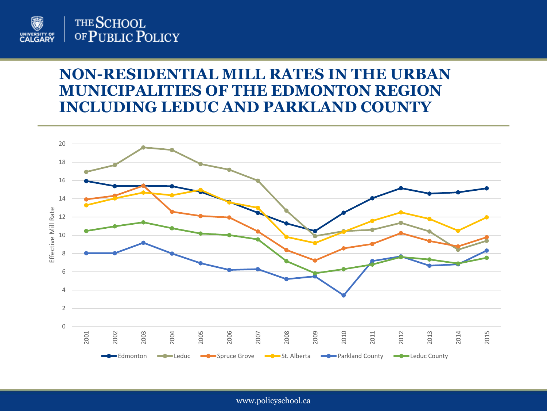

#### **NON-RESIDENTIAL MILL RATES IN THE URBAN MUNICIPALITIES OF THE EDMONTON REGION INCLUDING LEDUC AND PARKLAND COUNTY**

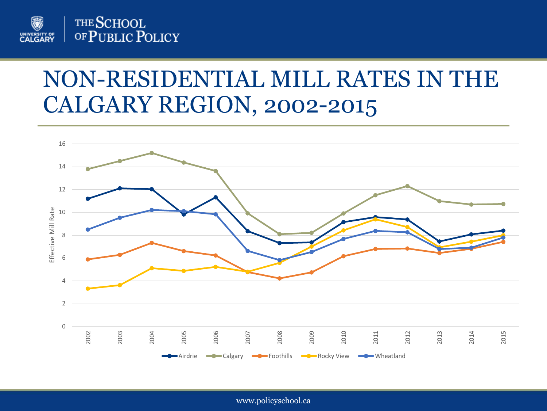

### NON-RESIDENTIAL MILL RATES IN THE CALGARY REGION, 2002-2015